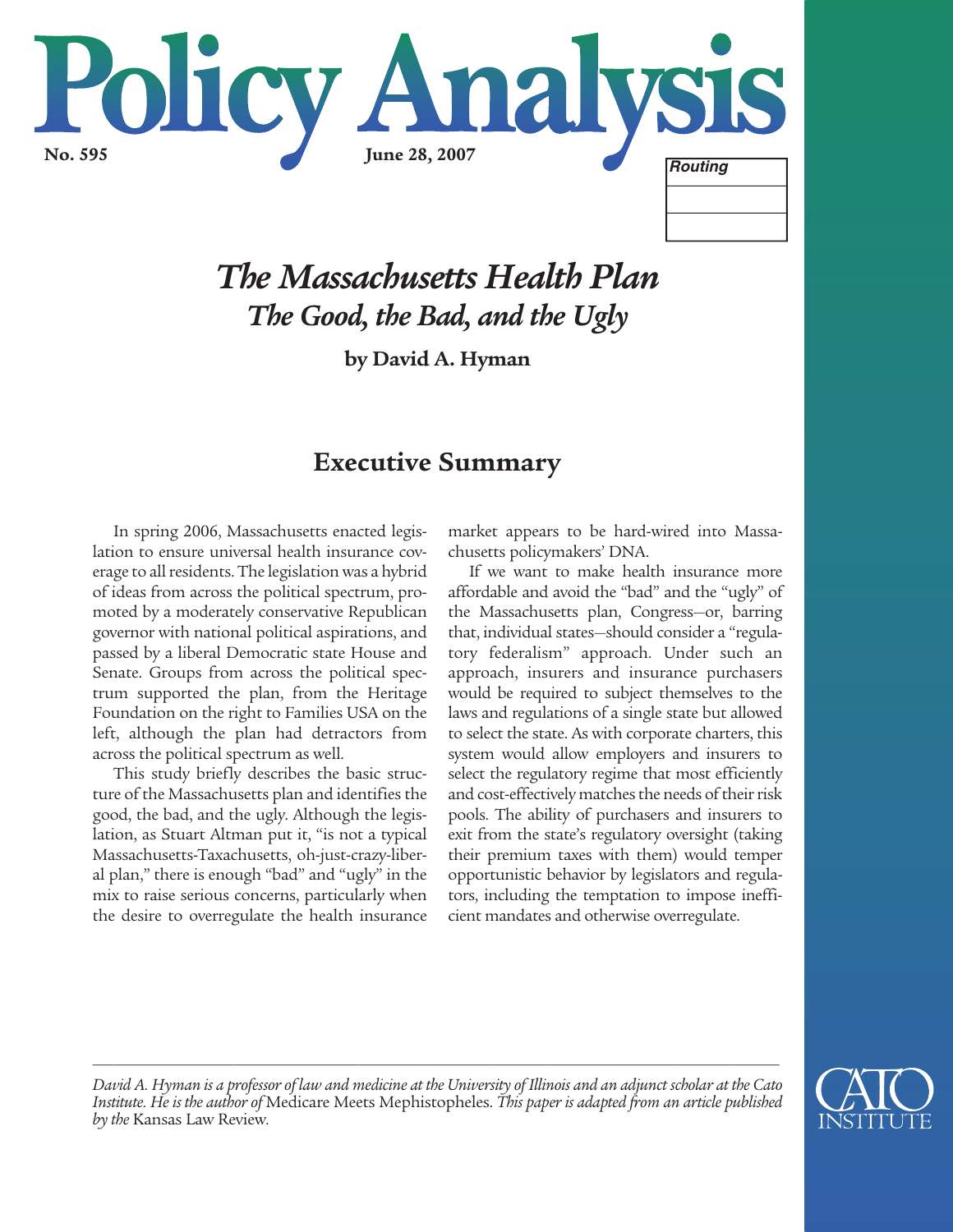

# *The Massachusetts Health Plan The Good, the Bad, and the Ugly*

**by David A. Hyman**

# **Executive Summary**

In spring 2006, Massachusetts enacted legislation to ensure universal health insurance coverage to all residents. The legislation was a hybrid of ideas from across the political spectrum, promoted by a moderately conservative Republican governor with national political aspirations, and passed by a liberal Democratic state House and Senate. Groups from across the political spectrum supported the plan, from the Heritage Foundation on the right to Families USA on the left, although the plan had detractors from across the political spectrum as well.

This study briefly describes the basic structure of the Massachusetts plan and identifies the good, the bad, and the ugly. Although the legislation, as Stuart Altman put it, "is not a typical Massachusetts-Taxachusetts, oh-just-crazy-liberal plan," there is enough "bad" and "ugly" in the mix to raise serious concerns, particularly when the desire to overregulate the health insurance market appears to be hard-wired into Massachusetts policymakers' DNA.

If we want to make health insurance more affordable and avoid the "bad" and the "ugly" of the Massachusetts plan, Congress—or, barring that, individual states—should consider a "regulatory federalism" approach. Under such an approach, insurers and insurance purchasers would be required to subject themselves to the laws and regulations of a single state but allowed to select the state. As with corporate charters, this system would allow employers and insurers to select the regulatory regime that most efficiently and cost-effectively matches the needs of their risk pools. The ability of purchasers and insurers to exit from the state's regulatory oversight (taking their premium taxes with them) would temper opportunistic behavior by legislators and regulators, including the temptation to impose inefficient mandates and otherwise overregulate.



*David A. Hyman is a professor of law and medicine at the University of Illinois and an adjunct scholar at the Cato Institute. He is the author of* Medicare Meets Mephistopheles. *This paper is adapted from an article published by the* Kansas Law Review*.*

*\_\_\_\_\_\_\_\_\_\_\_\_\_\_\_\_\_\_\_\_\_\_\_\_\_\_\_\_\_\_\_\_\_\_\_\_\_\_\_\_\_\_\_\_\_\_\_\_\_\_\_\_\_\_\_\_\_\_\_\_\_\_\_\_\_\_\_\_\_\_\_\_\_\_\_\_\_\_\_\_\_\_\_\_\_\_\_\_\_\_\_\_\_\_\_\_\_\_\_\_\_*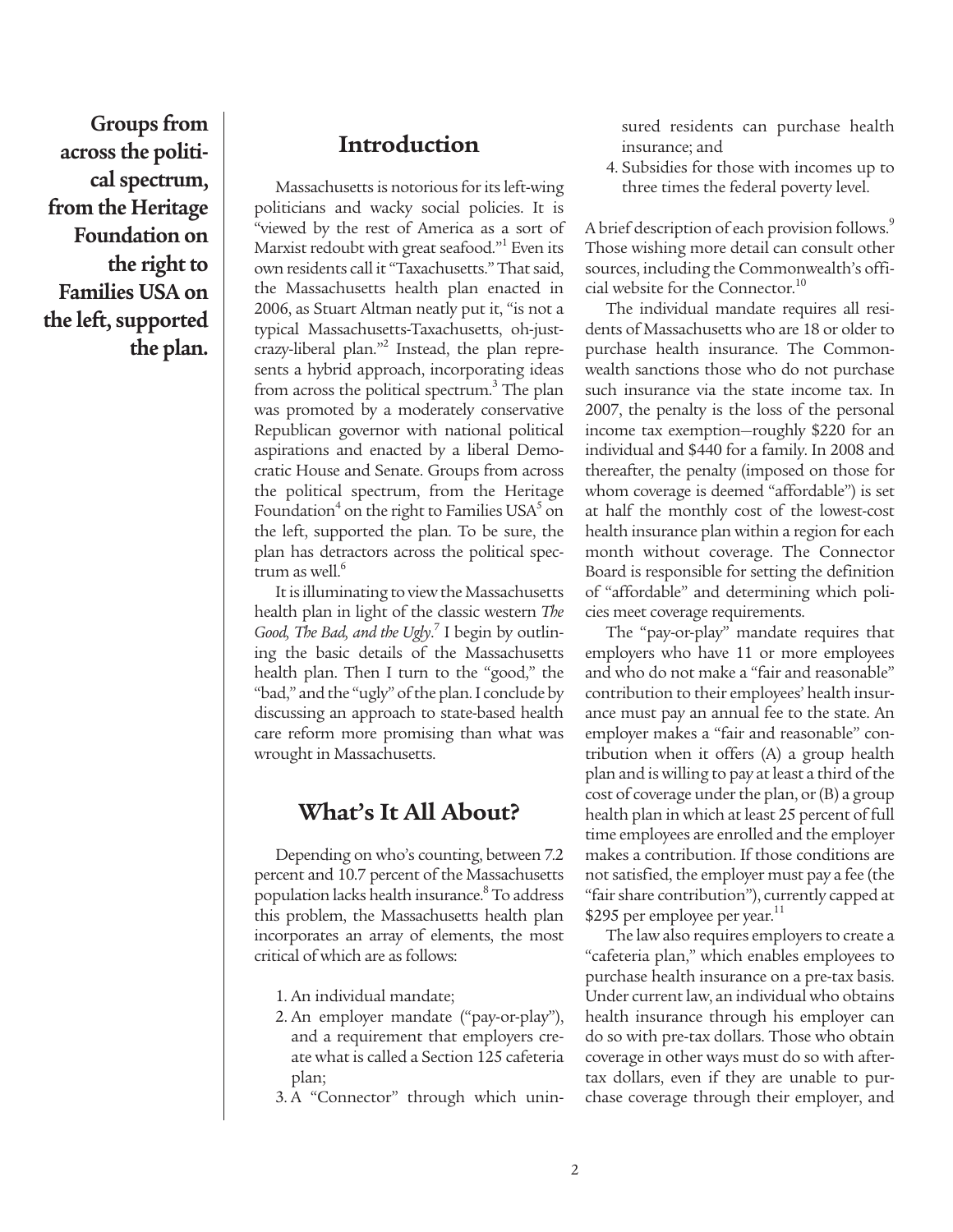**Groups from across the political spectrum, from the Heritage Foundation on the right to Families USA on the left, supported the plan.**

# **Introduction**

Massachusetts is notorious for its left-wing politicians and wacky social policies. It is "viewed by the rest of America as a sort of Marxist redoubt with great seafood."<sup>1</sup> Even its own residents call it "Taxachusetts." That said, the Massachusetts health plan enacted in 2006, as Stuart Altman neatly put it, "is not a typical Massachusetts-Taxachusetts, oh-justcrazy-liberal plan."2 Instead, the plan represents a hybrid approach, incorporating ideas from across the political spectrum.<sup>3</sup> The plan was promoted by a moderately conservative Republican governor with national political aspirations and enacted by a liberal Democratic House and Senate. Groups from across the political spectrum, from the Heritage Foundation<sup>4</sup> on the right to Families USA<sup>5</sup> on the left, supported the plan. To be sure, the plan has detractors across the political spectrum as well.<sup>6</sup>

It is illuminating to view the Massachusetts health plan in light of the classic western *The Good, The Bad, and the Ugly*. <sup>7</sup> I begin by outlining the basic details of the Massachusetts health plan. Then I turn to the "good," the "bad," and the "ugly" of the plan. I conclude by discussing an approach to state-based health care reform more promising than what was wrought in Massachusetts.

# **What's It All About?**

Depending on who's counting, between 7.2 percent and 10.7 percent of the Massachusetts population lacks health insurance.<sup>8</sup> To address this problem, the Massachusetts health plan incorporates an array of elements, the most critical of which are as follows:

- 1. An individual mandate;
- 2. An employer mandate ("pay-or-play"), and a requirement that employers create what is called a Section 125 cafeteria plan;
- 3. A "Connector" through which unin-

sured residents can purchase health insurance; and

4. Subsidies for those with incomes up to three times the federal poverty level.

A brief description of each provision follows.<sup>9</sup> Those wishing more detail can consult other sources, including the Commonwealth's official website for the Connector.<sup>10</sup>

The individual mandate requires all residents of Massachusetts who are 18 or older to purchase health insurance. The Commonwealth sanctions those who do not purchase such insurance via the state income tax. In 2007, the penalty is the loss of the personal income tax exemption—roughly \$220 for an individual and \$440 for a family. In 2008 and thereafter, the penalty (imposed on those for whom coverage is deemed "affordable") is set at half the monthly cost of the lowest-cost health insurance plan within a region for each month without coverage. The Connector Board is responsible for setting the definition of "affordable" and determining which policies meet coverage requirements.

The "pay-or-play" mandate requires that employers who have 11 or more employees and who do not make a "fair and reasonable" contribution to their employees' health insurance must pay an annual fee to the state. An employer makes a "fair and reasonable" contribution when it offers (A) a group health plan and is willing to pay at least a third of the cost of coverage under the plan, or (B) a group health plan in which at least 25 percent of full time employees are enrolled and the employer makes a contribution. If those conditions are not satisfied, the employer must pay a fee (the "fair share contribution"), currently capped at \$295 per employee per year.<sup>11</sup>

The law also requires employers to create a "cafeteria plan," which enables employees to purchase health insurance on a pre-tax basis. Under current law, an individual who obtains health insurance through his employer can do so with pre-tax dollars. Those who obtain coverage in other ways must do so with aftertax dollars, even if they are unable to purchase coverage through their employer, and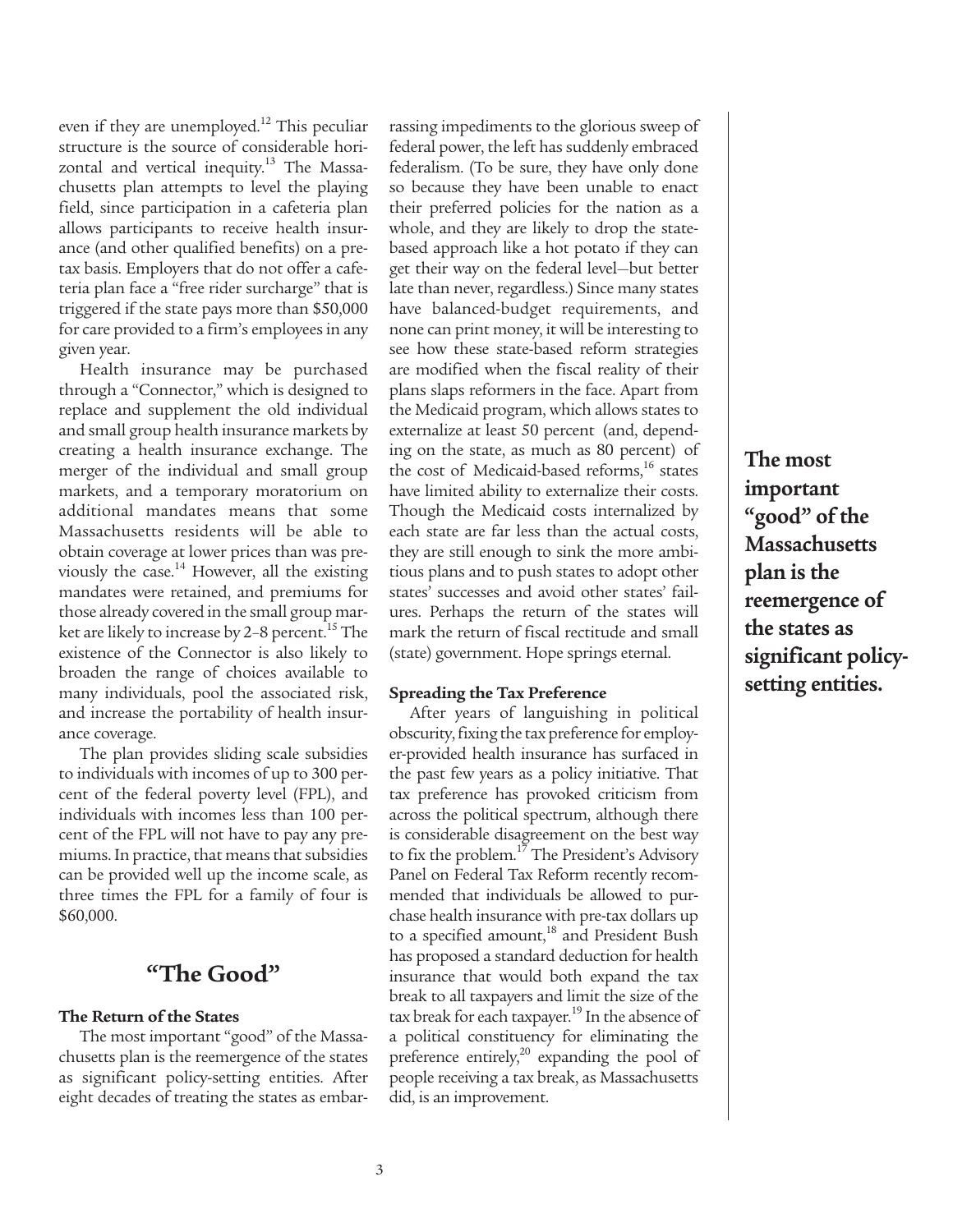even if they are unemployed.<sup>12</sup> This peculiar structure is the source of considerable horizontal and vertical inequity. $13$  The Massachusetts plan attempts to level the playing field, since participation in a cafeteria plan allows participants to receive health insurance (and other qualified benefits) on a pretax basis. Employers that do not offer a cafeteria plan face a "free rider surcharge" that is triggered if the state pays more than \$50,000 for care provided to a firm's employees in any given year.

Health insurance may be purchased through a "Connector," which is designed to replace and supplement the old individual and small group health insurance markets by creating a health insurance exchange. The merger of the individual and small group markets, and a temporary moratorium on additional mandates means that some Massachusetts residents will be able to obtain coverage at lower prices than was previously the case. $14$  However, all the existing mandates were retained, and premiums for those already covered in the small group market are likely to increase by 2-8 percent.<sup>15</sup> The existence of the Connector is also likely to broaden the range of choices available to many individuals, pool the associated risk, and increase the portability of health insurance coverage.

The plan provides sliding scale subsidies to individuals with incomes of up to 300 percent of the federal poverty level (FPL), and individuals with incomes less than 100 percent of the FPL will not have to pay any premiums. In practice, that means that subsidies can be provided well up the income scale, as three times the FPL for a family of four is \$60,000.

# **"The Good"**

#### **The Return of the States**

The most important "good" of the Massachusetts plan is the reemergence of the states as significant policy-setting entities. After eight decades of treating the states as embarrassing impediments to the glorious sweep of federal power, the left has suddenly embraced federalism. (To be sure, they have only done so because they have been unable to enact their preferred policies for the nation as a whole, and they are likely to drop the statebased approach like a hot potato if they can get their way on the federal level—but better late than never, regardless.) Since many states have balanced-budget requirements, and none can print money, it will be interesting to see how these state-based reform strategies are modified when the fiscal reality of their plans slaps reformers in the face. Apart from the Medicaid program, which allows states to externalize at least 50 percent (and, depending on the state, as much as 80 percent) of the cost of Medicaid-based reforms, $16$  states have limited ability to externalize their costs. Though the Medicaid costs internalized by each state are far less than the actual costs, they are still enough to sink the more ambitious plans and to push states to adopt other states' successes and avoid other states' failures. Perhaps the return of the states will mark the return of fiscal rectitude and small (state) government. Hope springs eternal.

#### **Spreading the Tax Preference**

After years of languishing in political obscurity, fixing the tax preference for employer-provided health insurance has surfaced in the past few years as a policy initiative. That tax preference has provoked criticism from across the political spectrum, although there is considerable disagreement on the best way to fix the problem.<sup>17</sup> The President's Advisory Panel on Federal Tax Reform recently recommended that individuals be allowed to purchase health insurance with pre-tax dollars up to a specified amount,<sup>18</sup> and President Bush has proposed a standard deduction for health insurance that would both expand the tax break to all taxpayers and limit the size of the tax break for each taxpayer.<sup>19</sup> In the absence of a political constituency for eliminating the preference entirely,<sup>20</sup> expanding the pool of people receiving a tax break, as Massachusetts did, is an improvement.

**The most important "good" of the Massachusetts plan is the reemergence of the states as significant policysetting entities.**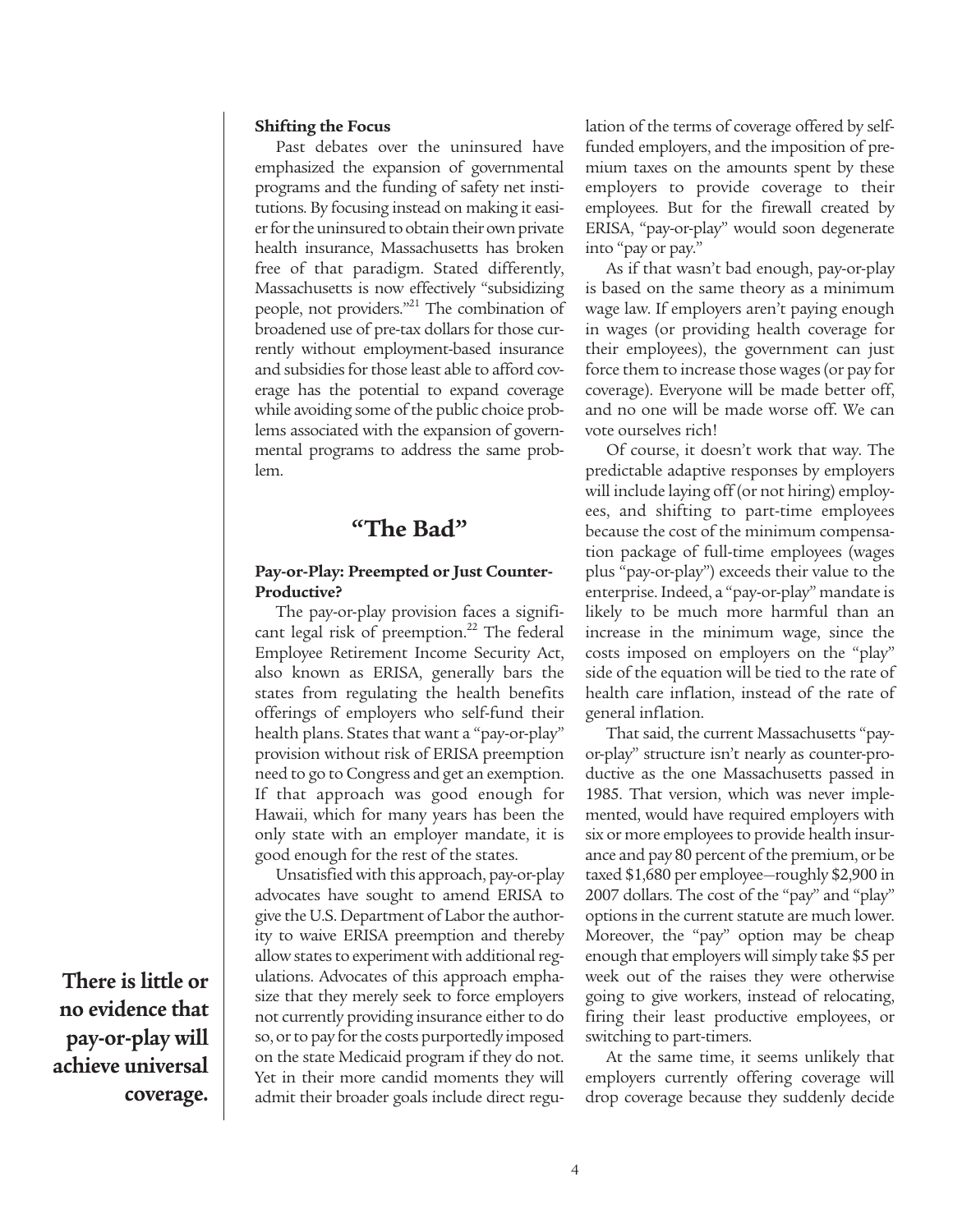#### **Shifting the Focus**

Past debates over the uninsured have emphasized the expansion of governmental programs and the funding of safety net institutions. By focusing instead on making it easier for the uninsured to obtain their own private health insurance, Massachusetts has broken free of that paradigm. Stated differently, Massachusetts is now effectively "subsidizing people, not providers."<sup>21</sup> The combination of broadened use of pre-tax dollars for those currently without employment-based insurance and subsidies for those least able to afford coverage has the potential to expand coverage while avoiding some of the public choice problems associated with the expansion of governmental programs to address the same problem.

# **"The Bad"**

#### **Pay-or-Play: Preempted or Just Counter-Productive?**

The pay-or-play provision faces a significant legal risk of preemption.<sup>22</sup> The federal Employee Retirement Income Security Act, also known as ERISA, generally bars the states from regulating the health benefits offerings of employers who self-fund their health plans. States that want a "pay-or-play" provision without risk of ERISA preemption need to go to Congress and get an exemption. If that approach was good enough for Hawaii, which for many years has been the only state with an employer mandate, it is good enough for the rest of the states.

Unsatisfied with this approach, pay-or-play advocates have sought to amend ERISA to give the U.S. Department of Labor the authority to waive ERISA preemption and thereby allow states to experiment with additional regulations. Advocates of this approach emphasize that they merely seek to force employers not currently providing insurance either to do so, or to pay for the costs purportedly imposed on the state Medicaid program if they do not. Yet in their more candid moments they will admit their broader goals include direct regulation of the terms of coverage offered by selffunded employers, and the imposition of premium taxes on the amounts spent by these employers to provide coverage to their employees. But for the firewall created by ERISA, "pay-or-play" would soon degenerate into "pay or pay."

As if that wasn't bad enough, pay-or-play is based on the same theory as a minimum wage law. If employers aren't paying enough in wages (or providing health coverage for their employees), the government can just force them to increase those wages (or pay for coverage). Everyone will be made better off, and no one will be made worse off. We can vote ourselves rich!

Of course, it doesn't work that way. The predictable adaptive responses by employers will include laying off (or not hiring) employees, and shifting to part-time employees because the cost of the minimum compensation package of full-time employees (wages plus "pay-or-play") exceeds their value to the enterprise. Indeed, a "pay-or-play" mandate is likely to be much more harmful than an increase in the minimum wage, since the costs imposed on employers on the "play" side of the equation will be tied to the rate of health care inflation, instead of the rate of general inflation.

That said, the current Massachusetts "payor-play" structure isn't nearly as counter-productive as the one Massachusetts passed in 1985. That version, which was never implemented, would have required employers with six or more employees to provide health insurance and pay 80 percent of the premium, or be taxed \$1,680 per employee—roughly \$2,900 in 2007 dollars. The cost of the "pay" and "play" options in the current statute are much lower. Moreover, the "pay" option may be cheap enough that employers will simply take \$5 per week out of the raises they were otherwise going to give workers, instead of relocating, firing their least productive employees, or switching to part-timers.

At the same time, it seems unlikely that employers currently offering coverage will drop coverage because they suddenly decide

**There is little or no evidence that pay-or-play will achieve universal coverage.**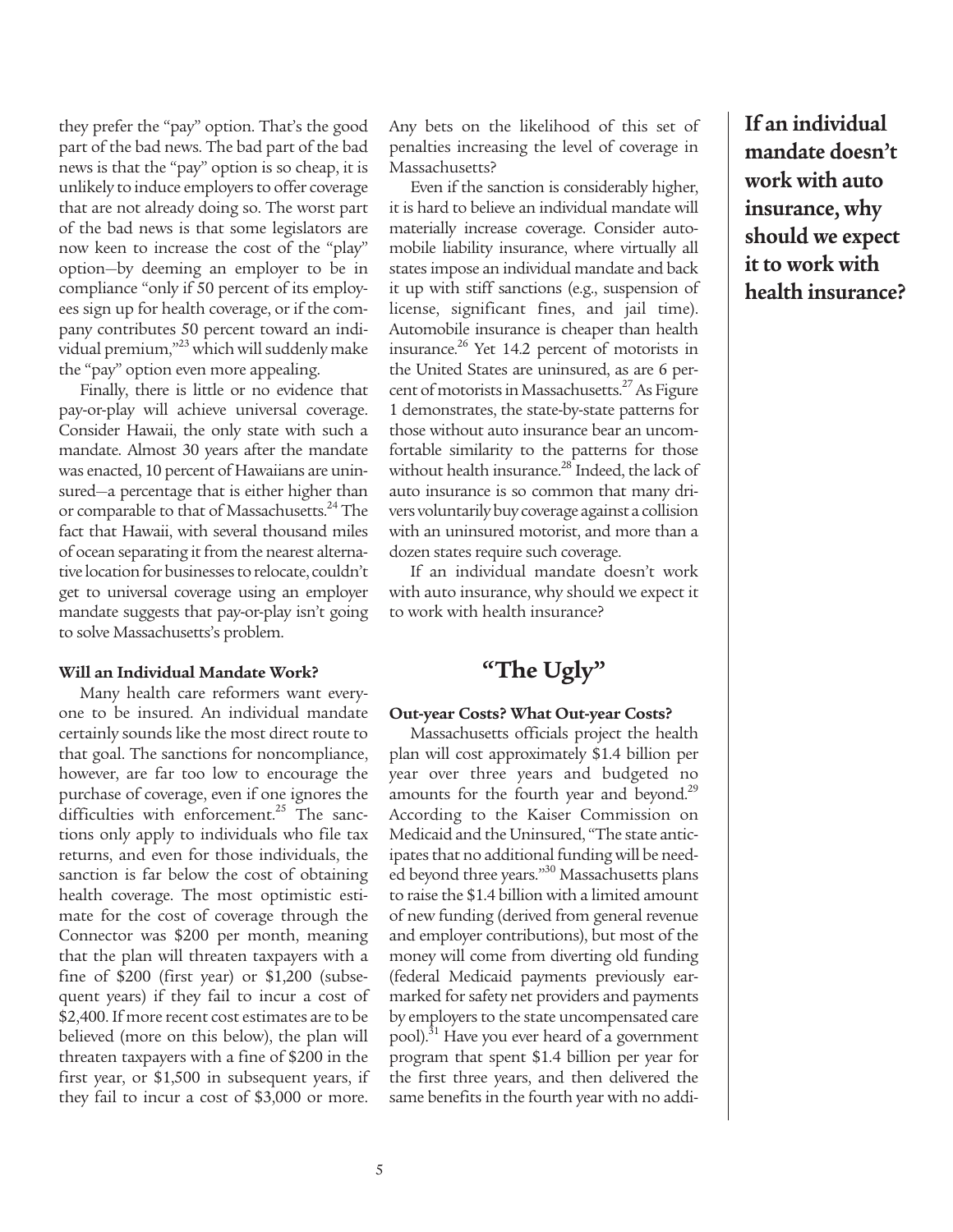they prefer the "pay" option. That's the good part of the bad news. The bad part of the bad news is that the "pay" option is so cheap, it is unlikely to induce employers to offer coverage that are not already doing so. The worst part of the bad news is that some legislators are now keen to increase the cost of the "play" option—by deeming an employer to be in compliance "only if 50 percent of its employees sign up for health coverage, or if the company contributes 50 percent toward an individual premium,"23 which will suddenly make the "pay" option even more appealing.

Finally, there is little or no evidence that pay-or-play will achieve universal coverage. Consider Hawaii, the only state with such a mandate. Almost 30 years after the mandate was enacted, 10 percent of Hawaiians are uninsured—a percentage that is either higher than or comparable to that of Massachusetts.<sup>24</sup> The fact that Hawaii, with several thousand miles of ocean separating it from the nearest alternative location for businesses to relocate, couldn't get to universal coverage using an employer mandate suggests that pay-or-play isn't going to solve Massachusetts's problem.

#### **Will an Individual Mandate Work?**

Many health care reformers want everyone to be insured. An individual mandate certainly sounds like the most direct route to that goal. The sanctions for noncompliance, however, are far too low to encourage the purchase of coverage, even if one ignores the difficulties with enforcement.<sup>25</sup> The sanctions only apply to individuals who file tax returns, and even for those individuals, the sanction is far below the cost of obtaining health coverage. The most optimistic estimate for the cost of coverage through the Connector was \$200 per month, meaning that the plan will threaten taxpayers with a fine of \$200 (first year) or \$1,200 (subsequent years) if they fail to incur a cost of \$2,400. If more recent cost estimates are to be believed (more on this below), the plan will threaten taxpayers with a fine of \$200 in the first year, or \$1,500 in subsequent years, if they fail to incur a cost of \$3,000 or more.

Any bets on the likelihood of this set of penalties increasing the level of coverage in Massachusetts?

Even if the sanction is considerably higher, it is hard to believe an individual mandate will materially increase coverage. Consider automobile liability insurance, where virtually all states impose an individual mandate and back it up with stiff sanctions (e.g., suspension of license, significant fines, and jail time). Automobile insurance is cheaper than health insurance. $^{26}$  Yet 14.2 percent of motorists in the United States are uninsured, as are 6 percent of motorists in Massachusetts.<sup>27</sup> As Figure 1 demonstrates, the state-by-state patterns for those without auto insurance bear an uncomfortable similarity to the patterns for those without health insurance. $^{28}$  Indeed, the lack of auto insurance is so common that many drivers voluntarily buy coverage against a collision with an uninsured motorist, and more than a dozen states require such coverage.

If an individual mandate doesn't work with auto insurance, why should we expect it to work with health insurance?

# **"The Ugly"**

#### **Out-year Costs? What Out-year Costs?**

Massachusetts officials project the health plan will cost approximately \$1.4 billion per year over three years and budgeted no amounts for the fourth year and beyond.<sup>29</sup> According to the Kaiser Commission on Medicaid and the Uninsured, "The state anticipates that no additional funding will be needed beyond three years."<sup>30</sup> Massachusetts plans to raise the \$1.4 billion with a limited amount of new funding (derived from general revenue and employer contributions), but most of the money will come from diverting old funding (federal Medicaid payments previously earmarked for safety net providers and payments by employers to the state uncompensated care pool).<sup>31</sup> Have you ever heard of a government program that spent \$1.4 billion per year for the first three years, and then delivered the same benefits in the fourth year with no addi-

**If an individual mandate doesn't work with auto insurance, why should we expect it to work with health insurance?**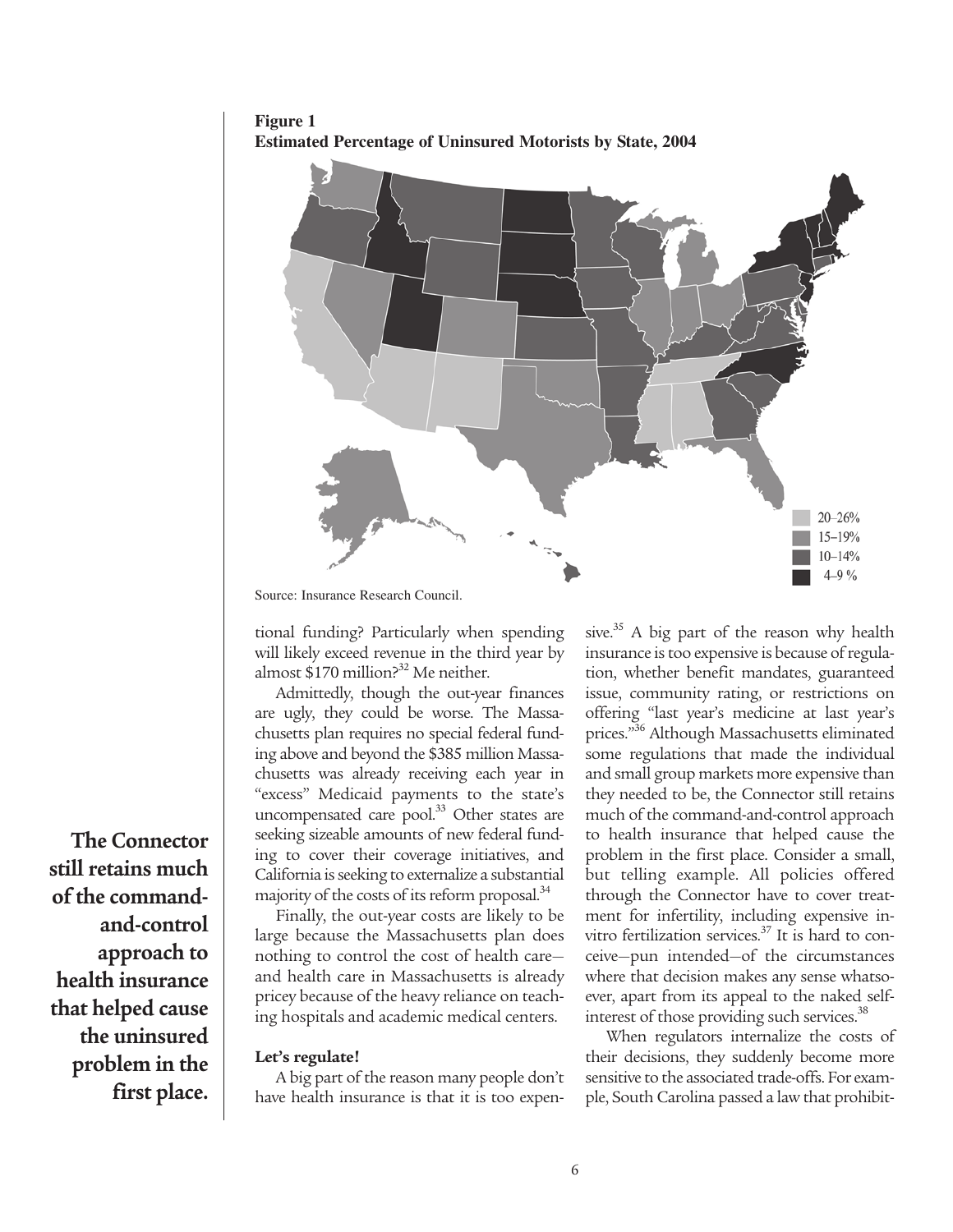**Figure 1 Estimated Percentage of Uninsured Motorists by State, 2004**



Source: Insurance Research Council.

tional funding? Particularly when spending will likely exceed revenue in the third year by almost  $$170$  million?<sup>32</sup> Me neither.

Admittedly, though the out-year finances are ugly, they could be worse. The Massachusetts plan requires no special federal funding above and beyond the \$385 million Massachusetts was already receiving each year in "excess" Medicaid payments to the state's uncompensated care pool. $33$  Other states are seeking sizeable amounts of new federal funding to cover their coverage initiatives, and California is seeking to externalize a substantial majority of the costs of its reform proposal.<sup>34</sup>

Finally, the out-year costs are likely to be large because the Massachusetts plan does nothing to control the cost of health care and health care in Massachusetts is already pricey because of the heavy reliance on teaching hospitals and academic medical centers.

#### **Let's regulate!**

A big part of the reason many people don't have health insurance is that it is too expensive.<sup>35</sup> A big part of the reason why health insurance is too expensive is because of regulation, whether benefit mandates, guaranteed issue, community rating, or restrictions on offering "last year's medicine at last year's prices."<sup>36</sup> Although Massachusetts eliminated some regulations that made the individual and small group markets more expensive than they needed to be, the Connector still retains much of the command-and-control approach to health insurance that helped cause the problem in the first place. Consider a small, but telling example. All policies offered through the Connector have to cover treatment for infertility, including expensive invitro fertilization services.<sup>37</sup> It is hard to conceive—pun intended—of the circumstances where that decision makes any sense whatsoever, apart from its appeal to the naked selfinterest of those providing such services.<sup>38</sup>

When regulators internalize the costs of their decisions, they suddenly become more sensitive to the associated trade-offs. For example, South Carolina passed a law that prohibit-

**The Connector still retains much of the commandand-control approach to health insurance that helped cause the uninsured problem in the first place.**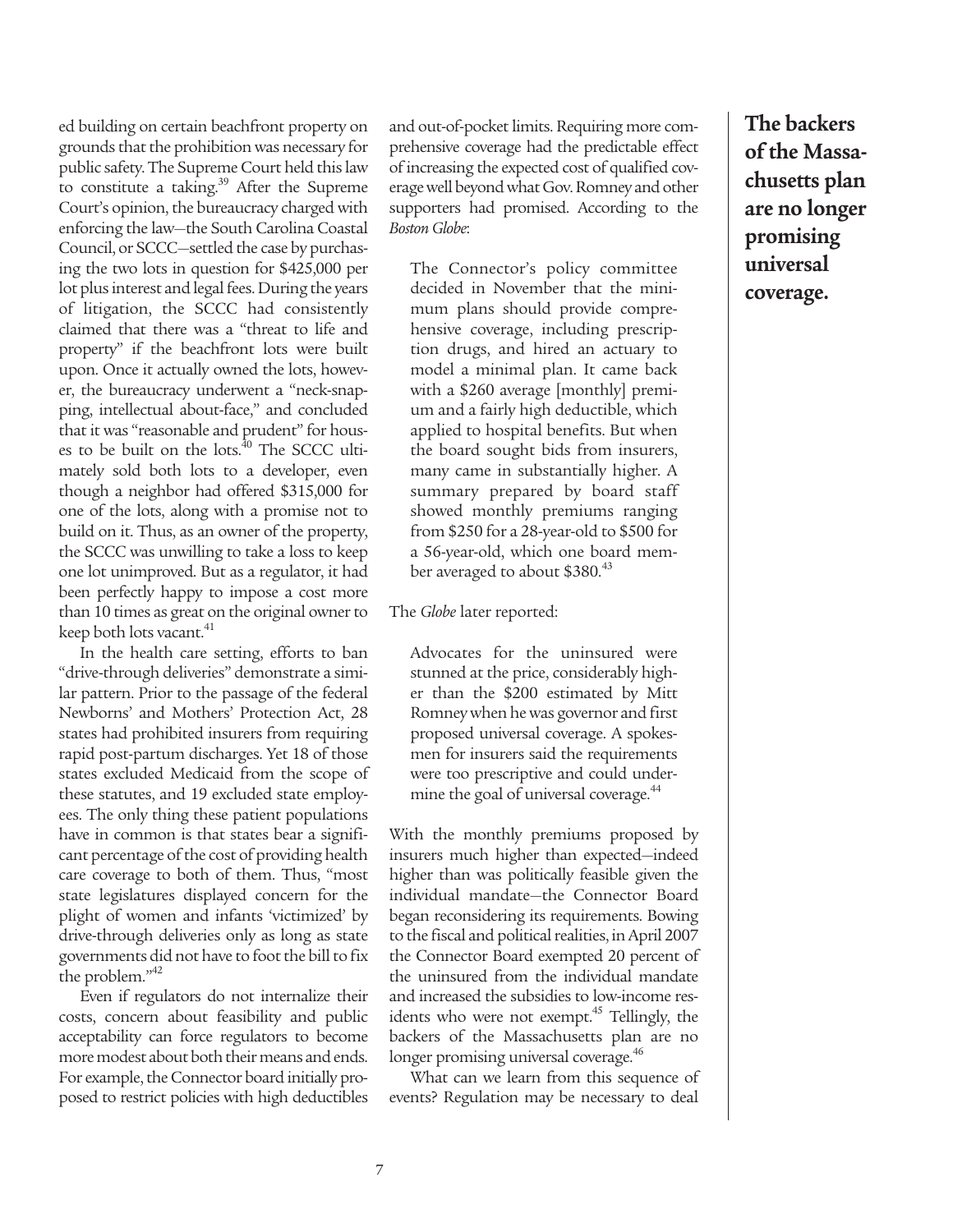ed building on certain beachfront property on grounds that the prohibition was necessary for public safety. The Supreme Court held this law to constitute a taking. $39$  After the Supreme Court's opinion, the bureaucracy charged with enforcing the law—the South Carolina Coastal Council, or SCCC—settled the case by purchasing the two lots in question for \$425,000 per lot plus interest and legal fees. During the years of litigation, the SCCC had consistently claimed that there was a "threat to life and property" if the beachfront lots were built upon. Once it actually owned the lots, however, the bureaucracy underwent a "neck-snapping, intellectual about-face," and concluded that it was "reasonable and prudent" for houses to be built on the lots. $^{40}$  The SCCC ultimately sold both lots to a developer, even though a neighbor had offered \$315,000 for one of the lots, along with a promise not to build on it. Thus, as an owner of the property, the SCCC was unwilling to take a loss to keep one lot unimproved. But as a regulator, it had been perfectly happy to impose a cost more than 10 times as great on the original owner to keep both lots vacant.<sup>41</sup>

In the health care setting, efforts to ban "drive-through deliveries" demonstrate a similar pattern. Prior to the passage of the federal Newborns' and Mothers' Protection Act, 28 states had prohibited insurers from requiring rapid post-partum discharges. Yet 18 of those states excluded Medicaid from the scope of these statutes, and 19 excluded state employees. The only thing these patient populations have in common is that states bear a significant percentage of the cost of providing health care coverage to both of them. Thus, "most state legislatures displayed concern for the plight of women and infants 'victimized' by drive-through deliveries only as long as state governments did not have to foot the bill to fix the problem."<sup>42</sup>

Even if regulators do not internalize their costs, concern about feasibility and public acceptability can force regulators to become more modest about both their means and ends. For example, the Connector board initially proposed to restrict policies with high deductibles

and out-of-pocket limits. Requiring more comprehensive coverage had the predictable effect of increasing the expected cost of qualified coverage well beyond what Gov. Romney and other supporters had promised. According to the *Boston Globe*:

The Connector's policy committee decided in November that the minimum plans should provide comprehensive coverage, including prescription drugs, and hired an actuary to model a minimal plan. It came back with a \$260 average [monthly] premium and a fairly high deductible, which applied to hospital benefits. But when the board sought bids from insurers, many came in substantially higher. A summary prepared by board staff showed monthly premiums ranging from \$250 for a 28-year-old to \$500 for a 56-year-old, which one board member averaged to about \$380.<sup>43</sup>

The *Globe* later reported:

Advocates for the uninsured were stunned at the price, considerably higher than the \$200 estimated by Mitt Romney when he was governor and first proposed universal coverage. A spokesmen for insurers said the requirements were too prescriptive and could undermine the goal of universal coverage.<sup>44</sup>

With the monthly premiums proposed by insurers much higher than expected—indeed higher than was politically feasible given the individual mandate—the Connector Board began reconsidering its requirements. Bowing to the fiscal and political realities, in April 2007 the Connector Board exempted 20 percent of the uninsured from the individual mandate and increased the subsidies to low-income residents who were not exempt.<sup>45</sup> Tellingly, the backers of the Massachusetts plan are no longer promising universal coverage.<sup>46</sup>

What can we learn from this sequence of events? Regulation may be necessary to deal

**The backers of the Massachusetts plan are no longer promising universal coverage.**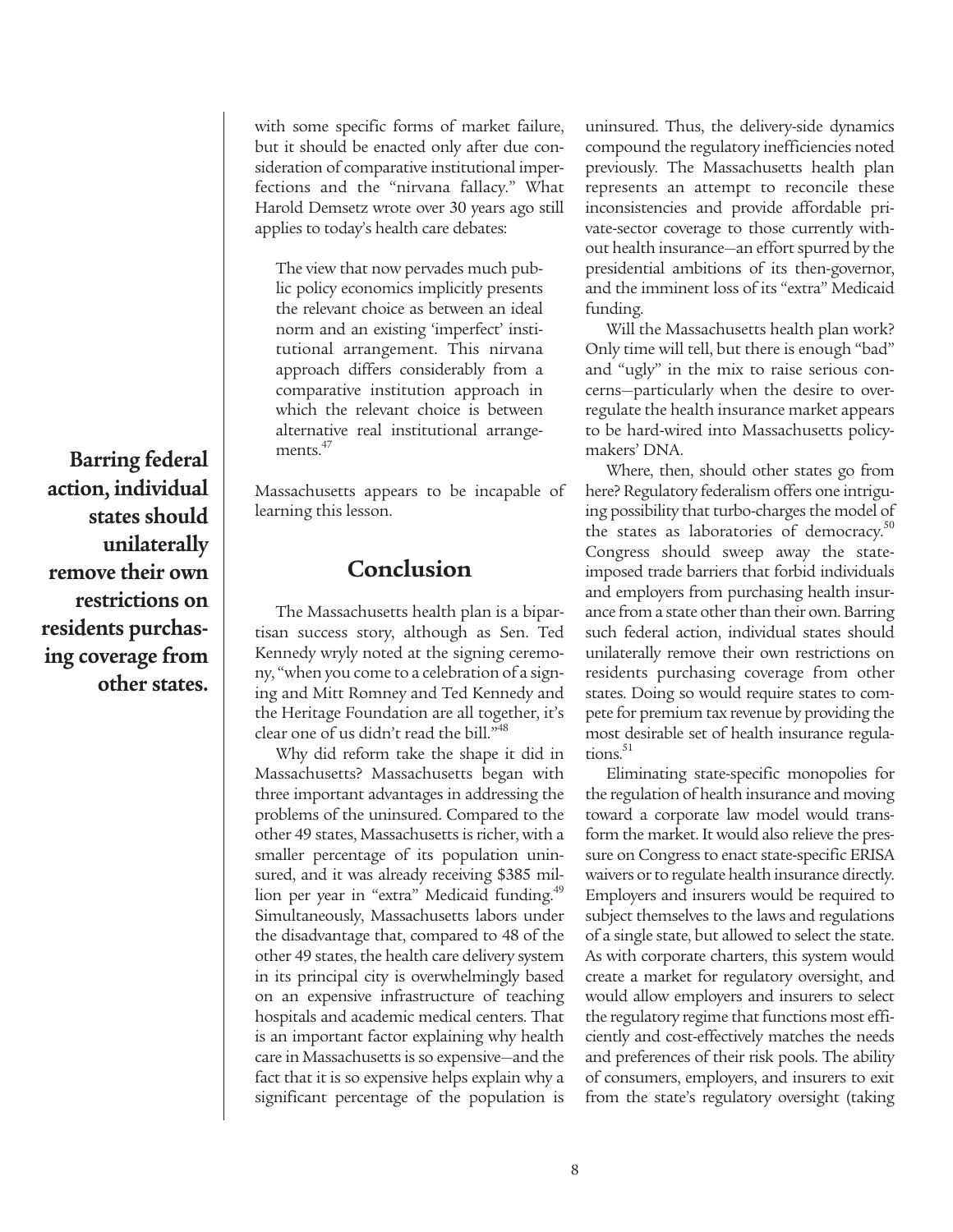with some specific forms of market failure, but it should be enacted only after due consideration of comparative institutional imperfections and the "nirvana fallacy." What Harold Demsetz wrote over 30 years ago still applies to today's health care debates:

The view that now pervades much public policy economics implicitly presents the relevant choice as between an ideal norm and an existing 'imperfect' institutional arrangement. This nirvana approach differs considerably from a comparative institution approach in which the relevant choice is between alternative real institutional arrangements.<sup>47</sup>

Massachusetts appears to be incapable of learning this lesson.

# **Conclusion**

The Massachusetts health plan is a bipartisan success story, although as Sen. Ted Kennedy wryly noted at the signing ceremony, "when you come to a celebration of a signing and Mitt Romney and Ted Kennedy and the Heritage Foundation are all together, it's clear one of us didn't read the bill."<sup>48</sup>

Why did reform take the shape it did in Massachusetts? Massachusetts began with three important advantages in addressing the problems of the uninsured. Compared to the other 49 states, Massachusetts is richer, with a smaller percentage of its population uninsured, and it was already receiving \$385 million per year in "extra" Medicaid funding.<sup>49</sup> Simultaneously, Massachusetts labors under the disadvantage that, compared to 48 of the other 49 states, the health care delivery system in its principal city is overwhelmingly based on an expensive infrastructure of teaching hospitals and academic medical centers. That is an important factor explaining why health care in Massachusetts is so expensive—and the fact that it is so expensive helps explain why a significant percentage of the population is

uninsured. Thus, the delivery-side dynamics compound the regulatory inefficiencies noted previously. The Massachusetts health plan represents an attempt to reconcile these inconsistencies and provide affordable private-sector coverage to those currently without health insurance—an effort spurred by the presidential ambitions of its then-governor, and the imminent loss of its "extra" Medicaid funding.

Will the Massachusetts health plan work? Only time will tell, but there is enough "bad" and "ugly" in the mix to raise serious concerns—particularly when the desire to overregulate the health insurance market appears to be hard-wired into Massachusetts policymakers' DNA.

Where, then, should other states go from here? Regulatory federalism offers one intriguing possibility that turbo-charges the model of the states as laboratories of democracy. $50$ Congress should sweep away the stateimposed trade barriers that forbid individuals and employers from purchasing health insurance from a state other than their own. Barring such federal action, individual states should unilaterally remove their own restrictions on residents purchasing coverage from other states. Doing so would require states to compete for premium tax revenue by providing the most desirable set of health insurance regula $tions.<sup>51</sup>$ 

Eliminating state-specific monopolies for the regulation of health insurance and moving toward a corporate law model would transform the market. It would also relieve the pressure on Congress to enact state-specific ERISA waivers or to regulate health insurance directly. Employers and insurers would be required to subject themselves to the laws and regulations of a single state, but allowed to select the state. As with corporate charters, this system would create a market for regulatory oversight, and would allow employers and insurers to select the regulatory regime that functions most efficiently and cost-effectively matches the needs and preferences of their risk pools. The ability of consumers, employers, and insurers to exit from the state's regulatory oversight (taking

**Barring federal action, individual states should unilaterally remove their own restrictions on residents purchasing coverage from other states.**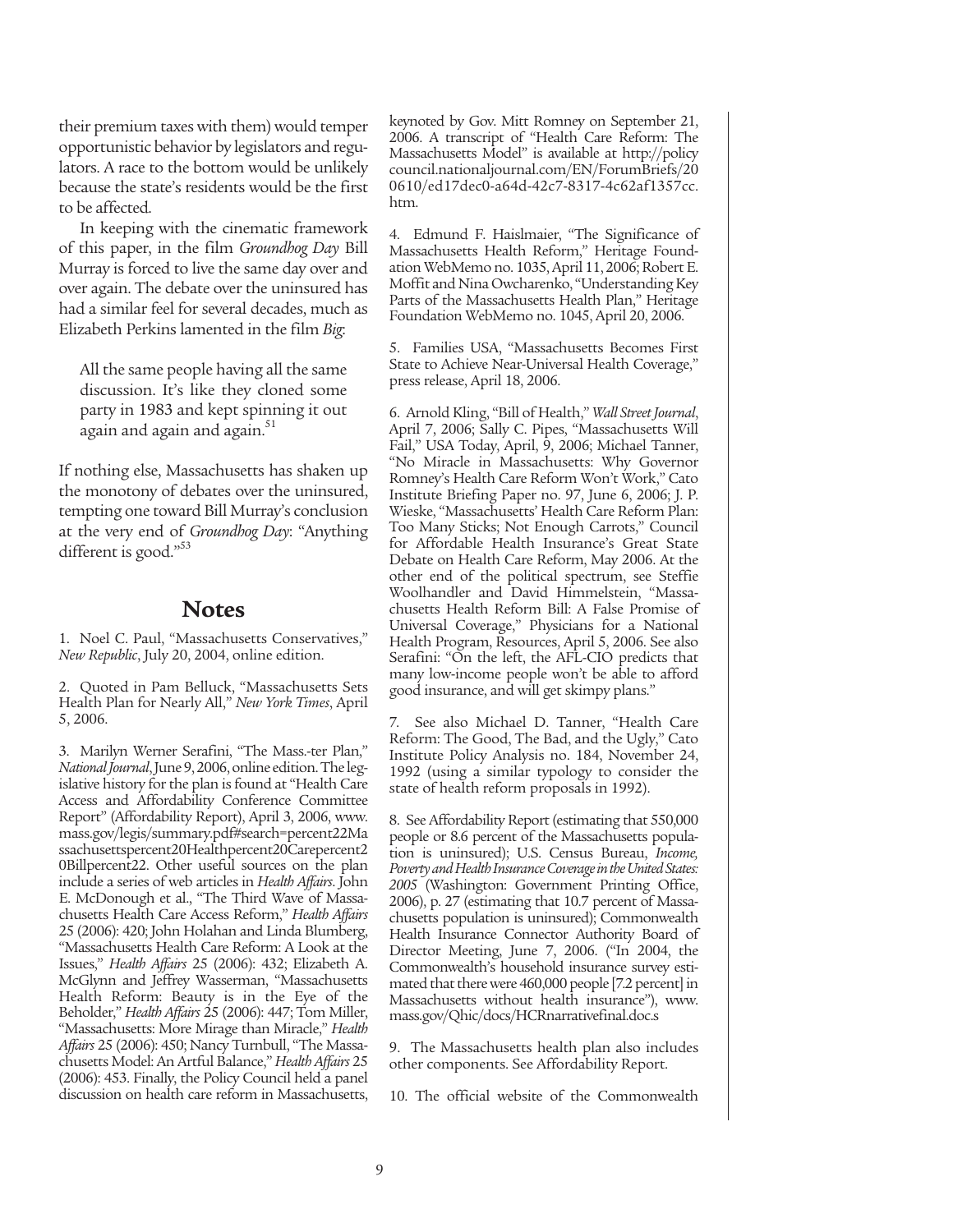their premium taxes with them) would temper opportunistic behavior by legislators and regulators. A race to the bottom would be unlikely because the state's residents would be the first to be affected.

In keeping with the cinematic framework of this paper, in the film *Groundhog Day* Bill Murray is forced to live the same day over and over again. The debate over the uninsured has had a similar feel for several decades, much as Elizabeth Perkins lamented in the film *Big*:

All the same people having all the same discussion. It's like they cloned some party in 1983 and kept spinning it out again and again and again.<sup>51</sup>

If nothing else, Massachusetts has shaken up the monotony of debates over the uninsured, tempting one toward Bill Murray's conclusion at the very end of *Groundhog Day*: "Anything different is good."<sup>53</sup>

## **Notes**

1. Noel C. Paul, "Massachusetts Conservatives," *New Republic*, July 20, 2004, online edition.

2. Quoted in Pam Belluck, "Massachusetts Sets Health Plan for Nearly All," *New York Times*, April 5, 2006.

3. Marilyn Werner Serafini, "The Mass.-ter Plan," *National Journal*, June 9, 2006, online edition. The legislative history for the plan is found at "Health Care Access and Affordability Conference Committee Report" (Affordability Report), April 3, 2006, www. mass.gov/legis/summary.pdf#search=percent22Ma ssachusettspercent20Healthpercent20Carepercent2 0Billpercent22. Other useful sources on the plan include a series of web articles in *Health Affairs*. John E. McDonough et al., "The Third Wave of Massachusetts Health Care Access Reform," *Health Affairs* 25 (2006): 420; John Holahan and Linda Blumberg, "Massachusetts Health Care Reform: A Look at the Issues," *Health Affairs* 25 (2006): 432; Elizabeth A. McGlynn and Jeffrey Wasserman, "Massachusetts Health Reform: Beauty is in the Eye of the Beholder," *Health Affairs* 25 (2006): 447; Tom Miller, "Massachusetts: More Mirage than Miracle," *Health Affairs* 25 (2006): 450; Nancy Turnbull, "The Massachusetts Model: An Artful Balance," *Health Affairs* 25 (2006): 453. Finally, the Policy Council held a panel discussion on health care reform in Massachusetts,

keynoted by Gov. Mitt Romney on September 21, 2006. A transcript of "Health Care Reform: The Massachusetts Model" is available at http://policy council.nationaljournal.com/EN/ForumBriefs/20 0610/ed17dec0-a64d-42c7-8317-4c62af1357cc. htm.

4. Edmund F. Haislmaier, "The Significance of Massachusetts Health Reform," Heritage Foundation WebMemo no. 1035, April 11, 2006; Robert E. Moffit and Nina Owcharenko, "Understanding Key Parts of the Massachusetts Health Plan," Heritage Foundation WebMemo no. 1045, April 20, 2006.

5. Families USA, "Massachusetts Becomes First State to Achieve Near-Universal Health Coverage," press release, April 18, 2006.

6. Arnold Kling, "Bill of Health," *Wall Street Journal*, April 7, 2006; Sally C. Pipes, "Massachusetts Will Fail," USA Today, April, 9, 2006; Michael Tanner, "No Miracle in Massachusetts: Why Governor Romney's Health Care Reform Won't Work," Cato Institute Briefing Paper no. 97, June 6, 2006; J. P. Wieske, "Massachusetts' Health Care Reform Plan: Too Many Sticks; Not Enough Carrots," Council for Affordable Health Insurance's Great State Debate on Health Care Reform, May 2006. At the other end of the political spectrum, see Steffie Woolhandler and David Himmelstein, "Massachusetts Health Reform Bill: A False Promise of Universal Coverage," Physicians for a National Health Program, Resources, April 5, 2006. See also Serafini: "On the left, the AFL-CIO predicts that many low-income people won't be able to afford good insurance, and will get skimpy plans."

7. See also Michael D. Tanner, "Health Care Reform: The Good, The Bad, and the Ugly," Cato Institute Policy Analysis no. 184, November 24, 1992 (using a similar typology to consider the state of health reform proposals in 1992).

8. See Affordability Report (estimating that 550,000 people or 8.6 percent of the Massachusetts population is uninsured); U.S. Census Bureau, *Income, Poverty and Health Insurance Coverage in the United States: 2005* (Washington: Government Printing Office, 2006), p. 27 (estimating that 10.7 percent of Massachusetts population is uninsured); Commonwealth Health Insurance Connector Authority Board of Director Meeting, June 7, 2006. ("In 2004, the Commonwealth's household insurance survey estimated that there were 460,000 people [7.2 percent] in Massachusetts without health insurance"), www. mass.gov/Qhic/docs/HCRnarrativefinal.doc.s

9. The Massachusetts health plan also includes other components. See Affordability Report.

10. The official website of the Commonwealth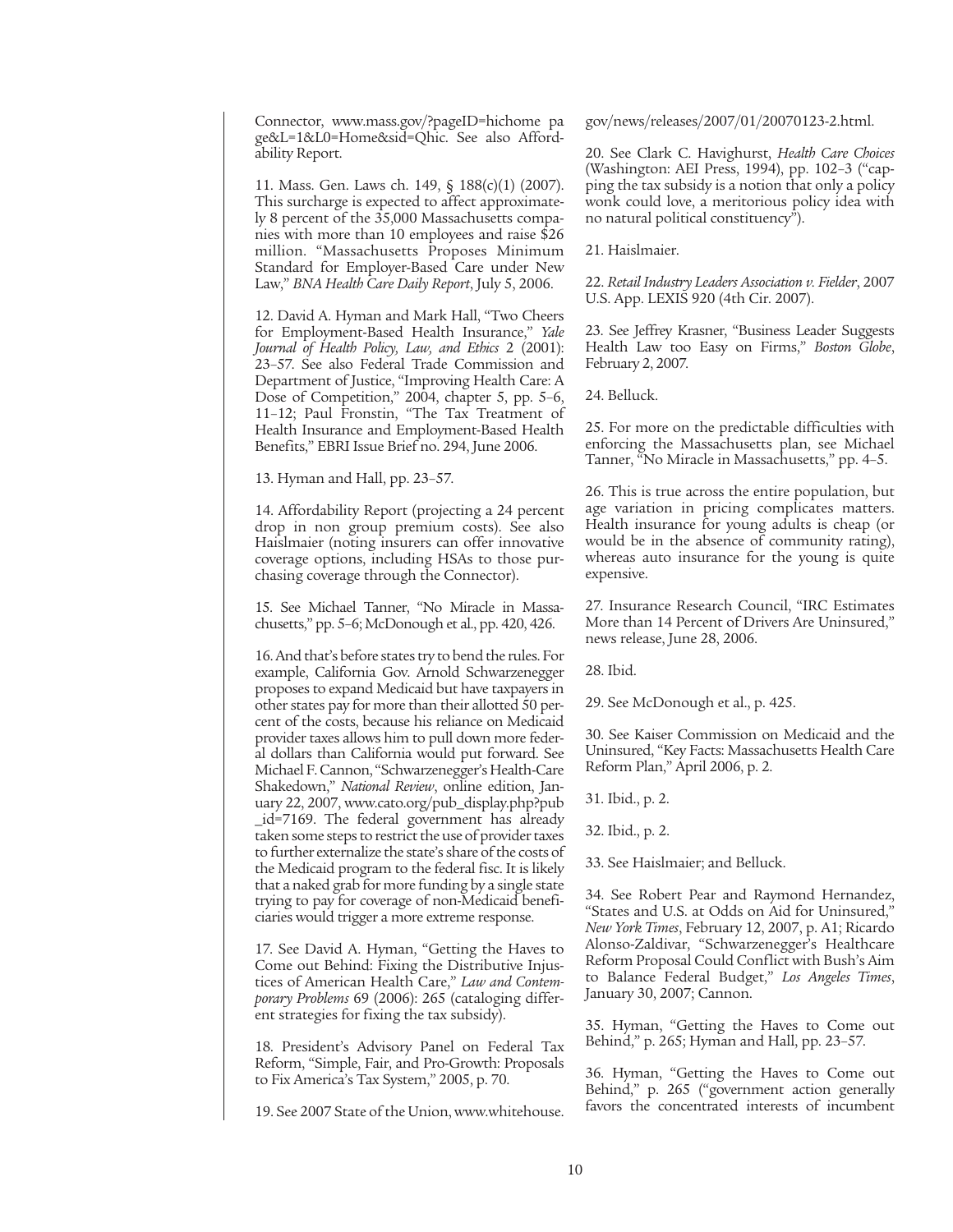Connector, www.mass.gov/?pageID=hichome pa ge&L=1&L0=Home&sid=Qhic. See also Affordability Report.

11. Mass. Gen. Laws ch. 149, § 188(c)(1) (2007). This surcharge is expected to affect approximately 8 percent of the 35,000 Massachusetts companies with more than 10 employees and raise \$26 million. "Massachusetts Proposes Minimum Standard for Employer-Based Care under New Law," *BNA Health Care Daily Report*, July 5, 2006.

12. David A. Hyman and Mark Hall, "Two Cheers for Employment-Based Health Insurance," *Yale Journal of Health Policy, Law, and Ethics* 2 (2001): 23–57. See also Federal Trade Commission and Department of Justice, "Improving Health Care: A Dose of Competition," 2004, chapter 5, pp. 5–6, 11–12; Paul Fronstin, "The Tax Treatment of Health Insurance and Employment-Based Health Benefits," EBRI Issue Brief no. 294, June 2006.

13. Hyman and Hall, pp. 23–57.

14. Affordability Report (projecting a 24 percent drop in non group premium costs). See also Haislmaier (noting insurers can offer innovative coverage options, including HSAs to those purchasing coverage through the Connector).

15. See Michael Tanner, "No Miracle in Massachusetts," pp. 5–6; McDonough et al., pp. 420, 426.

16. And that's before states try to bend the rules. For example, California Gov. Arnold Schwarzenegger proposes to expand Medicaid but have taxpayers in other states pay for more than their allotted 50 percent of the costs, because his reliance on Medicaid provider taxes allows him to pull down more federal dollars than California would put forward. See Michael F. Cannon, "Schwarzenegger's Health-Care Shakedown," *National Review*, online edition, January 22, 2007, www.cato.org/pub\_display.php?pub \_id=7169. The federal government has already taken some steps to restrict the use of provider taxes to further externalize the state's share of the costs of the Medicaid program to the federal fisc. It is likely that a naked grab for more funding by a single state trying to pay for coverage of non-Medicaid beneficiaries would trigger a more extreme response.

17. See David A. Hyman, "Getting the Haves to Come out Behind: Fixing the Distributive Injustices of American Health Care," *Law and Contemporary Problems* 69 (2006): 265 (cataloging different strategies for fixing the tax subsidy).

18. President's Advisory Panel on Federal Tax Reform, "Simple, Fair, and Pro-Growth: Proposals to Fix America's Tax System," 2005, p. 70.

19. See 2007 State of the Union, www.whitehouse.

gov/news/releases/2007/01/20070123-2.html.

20. See Clark C. Havighurst, *Health Care Choices* (Washington: AEI Press, 1994), pp. 102–3 ("capping the tax subsidy is a notion that only a policy wonk could love, a meritorious policy idea with no natural political constituency").

21. Haislmaier.

22. *Retail Industry Leaders Association v. Fielder*, 2007 U.S. App. LEXIS 920 (4th Cir. 2007).

23. See Jeffrey Krasner, "Business Leader Suggests Health Law too Easy on Firms," *Boston Globe*, February 2, 2007.

24. Belluck.

25. For more on the predictable difficulties with enforcing the Massachusetts plan, see Michael Tanner, "No Miracle in Massachusetts," pp. 4–5.

26. This is true across the entire population, but age variation in pricing complicates matters. Health insurance for young adults is cheap (or would be in the absence of community rating), whereas auto insurance for the young is quite expensive.

27. Insurance Research Council, "IRC Estimates More than 14 Percent of Drivers Are Uninsured," news release, June 28, 2006.

28. Ibid.

29. See McDonough et al., p. 425.

30. See Kaiser Commission on Medicaid and the Uninsured, "Key Facts: Massachusetts Health Care Reform Plan," April 2006, p. 2.

31. Ibid., p. 2.

32. Ibid., p. 2.

33. See Haislmaier; and Belluck.

34. See Robert Pear and Raymond Hernandez, "States and U.S. at Odds on Aid for Uninsured," *New York Times*, February 12, 2007, p. A1; Ricardo Alonso-Zaldivar, "Schwarzenegger's Healthcare Reform Proposal Could Conflict with Bush's Aim to Balance Federal Budget," *Los Angeles Times*, January 30, 2007; Cannon.

35. Hyman, "Getting the Haves to Come out Behind," p. 265; Hyman and Hall, pp. 23–57.

36. Hyman, "Getting the Haves to Come out Behind," p. 265 ("government action generally favors the concentrated interests of incumbent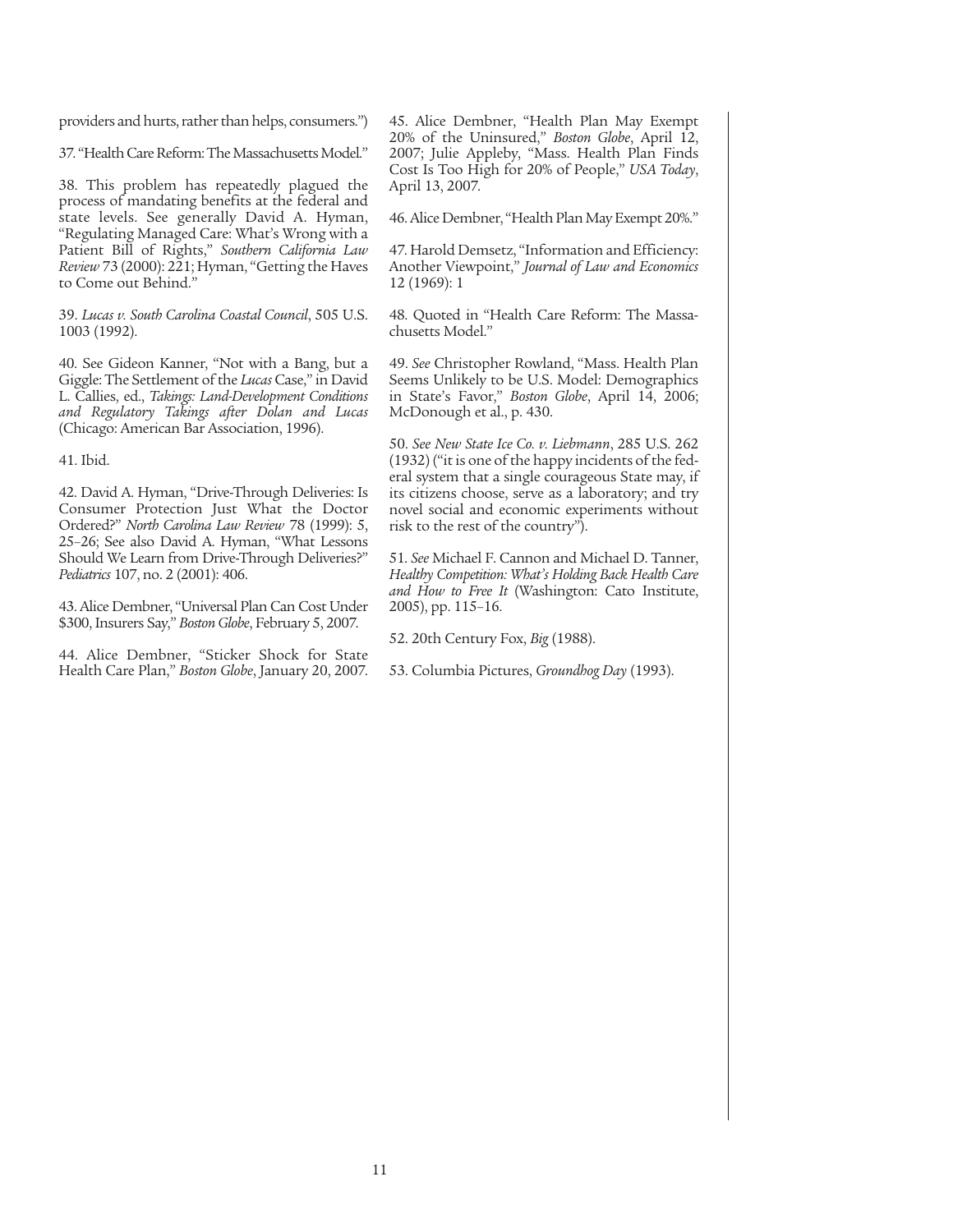providers and hurts, rather than helps, consumers.")

37. "Health Care Reform: The Massachusetts Model."

38. This problem has repeatedly plagued the process of mandating benefits at the federal and state levels. See generally David A. Hyman, "Regulating Managed Care: What's Wrong with a Patient Bill of Rights," *Southern California Law Review*73 (2000): 221; Hyman, "Getting the Haves to Come out Behind."

39. *Lucas v. South Carolina Coastal Council*, 505 U.S. 1003 (1992).

40. See Gideon Kanner, "Not with a Bang, but a Giggle: The Settlement of the *Lucas* Case," in David L. Callies, ed., *Takings: Land-Development Conditions and Regulatory Takings after Dolan and Lucas* (Chicago: American Bar Association, 1996).

41. Ibid.

42. David A. Hyman, "Drive-Through Deliveries: Is Consumer Protection Just What the Doctor Ordered?" *North Carolina Law Review* 78 (1999): 5, 25–26; See also David A. Hyman, "What Lessons Should We Learn from Drive-Through Deliveries?" *Pediatrics* 107, no. 2 (2001): 406.

43. Alice Dembner, "Universal Plan Can Cost Under \$300, Insurers Say," *Boston Globe*, February 5, 2007.

44. Alice Dembner, "Sticker Shock for State Health Care Plan," *Boston Globe*, January 20, 2007. 45. Alice Dembner, "Health Plan May Exempt 20% of the Uninsured," *Boston Globe*, April 12, 2007; Julie Appleby, "Mass. Health Plan Finds Cost Is Too High for 20% of People," *USA Today*, April 13, 2007.

46. Alice Dembner, "Health Plan May Exempt 20%."

47. Harold Demsetz, "Information and Efficiency: Another Viewpoint," *Journal of Law and Economics* 12 (1969): 1

48. Quoted in "Health Care Reform: The Massachusetts Model."

49. *See* Christopher Rowland, "Mass. Health Plan Seems Unlikely to be U.S. Model: Demographics in State's Favor," *Boston Globe*, April 14, 2006; McDonough et al., p. 430.

50. *See New State Ice Co. v. Liebmann*, 285 U.S. 262 (1932) ("it is one of the happy incidents of the federal system that a single courageous State may, if its citizens choose, serve as a laboratory; and try novel social and economic experiments without risk to the rest of the country").

51. *See* Michael F. Cannon and Michael D. Tanner, *Healthy Competition: What's Holding Back Health Care and How to Free It* (Washington: Cato Institute, 2005), pp. 115–16.

52. 20th Century Fox, *Big* (1988).

53. Columbia Pictures, *Groundhog Day* (1993).